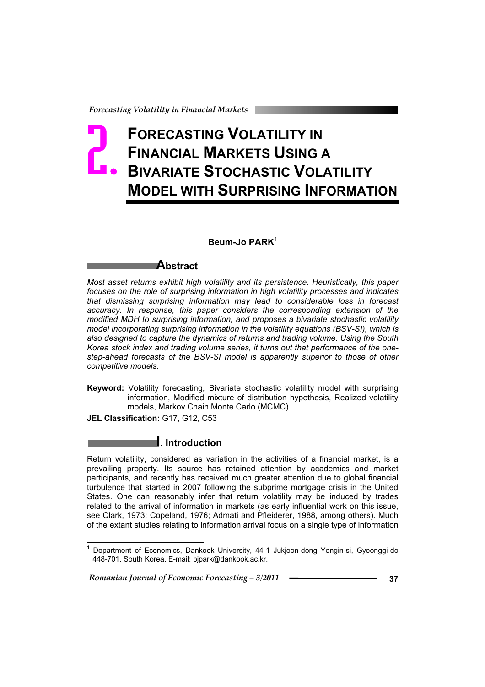# **FORECASTING VOLATILITY IN FINANCIAL MARKETS USING A BIVARIATE STOCHASTIC VOLATILITY MODEL WITH SURPRISING INFORMATION** Forecasi

**Beum-Jo PARK**<sup>1</sup>

## **Abstract**

*Most asset returns exhibit high volatility and its persistence. Heuristically, this paper focuses on the role of surprising information in high volatility processes and indicates that dismissing surprising information may lead to considerable loss in forecast accuracy. In response, this paper considers the corresponding extension of the modified MDH to surprising information, and proposes a bivariate stochastic volatility model incorporating surprising information in the volatility equations (BSV-SI), which is also designed to capture the dynamics of returns and trading volume. Using the South Korea stock index and trading volume series, it turns out that performance of the onestep-ahead forecasts of the BSV-SI model is apparently superior to those of other competitive models.* 

**Keyword:** Volatility forecasting, Bivariate stochastic volatility model with surprising information, Modified mixture of distribution hypothesis, Realized volatility models, Markov Chain Monte Carlo (MCMC)

**JEL Classification:** G17, G12, C53

## **I. Introduction**

Return volatility, considered as variation in the activities of a financial market, is a prevailing property. Its source has retained attention by academics and market participants, and recently has received much greater attention due to global financial turbulence that started in 2007 following the subprime mortgage crisis in the United States. One can reasonably infer that return volatility may be induced by trades related to the arrival of information in markets (as early influential work on this issue, see Clark, 1973; Copeland, 1976; Admati and Pfleiderer, 1988, among others). Much of the extant studies relating to information arrival focus on a single type of information

 $\overline{\phantom{a}}$ 1 Department of Economics, Dankook University, 44-1 Jukjeon-dong Yongin-si, Gyeonggi-do 448-701, South Korea, E-mail: bjpark@dankook.ac.kr.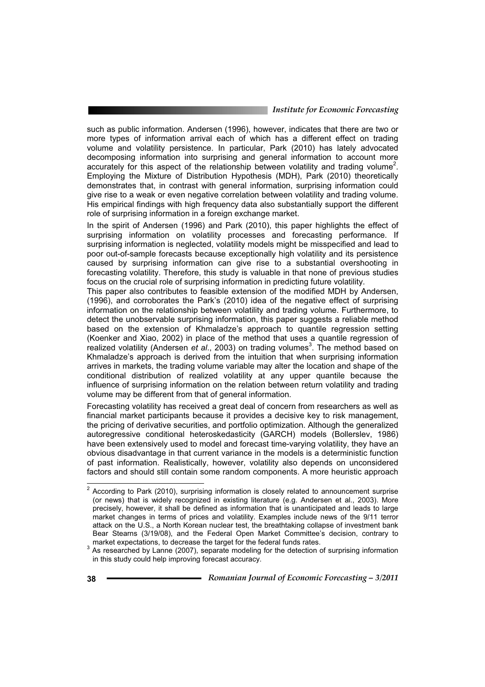# *Institute for Economic Forecasting*

such as public information. Andersen (1996), however, indicates that there are two or more types of information arrival each of which has a different effect on trading volume and volatility persistence. In particular, Park (2010) has lately advocated decomposing information into surprising and general information to account more accurately for this aspect of the relationship between volatility and trading volume<sup>2</sup>. Employing the Mixture of Distribution Hypothesis (MDH), Park (2010) theoretically demonstrates that, in contrast with general information, surprising information could give rise to a weak or even negative correlation between volatility and trading volume. His empirical findings with high frequency data also substantially support the different role of surprising information in a foreign exchange market.

In the spirit of Andersen (1996) and Park (2010), this paper highlights the effect of surprising information on volatility processes and forecasting performance. If surprising information is neglected, volatility models might be misspecified and lead to poor out-of-sample forecasts because exceptionally high volatility and its persistence caused by surprising information can give rise to a substantial overshooting in forecasting volatility. Therefore, this study is valuable in that none of previous studies focus on the crucial role of surprising information in predicting future volatility.

This paper also contributes to feasible extension of the modified MDH by Andersen, (1996), and corroborates the Park's (2010) idea of the negative effect of surprising information on the relationship between volatility and trading volume. Furthermore, to detect the unobservable surprising information, this paper suggests a reliable method based on the extension of Khmaladze's approach to quantile regression setting (Koenker and Xiao, 2002) in place of the method that uses a quantile regression of realized volatility (Andersen et al., 2003) on trading volumes<sup>3</sup>. The method based on Khmaladze's approach is derived from the intuition that when surprising information arrives in markets, the trading volume variable may alter the location and shape of the conditional distribution of realized volatility at any upper quantile because the influence of surprising information on the relation between return volatility and trading volume may be different from that of general information.

Forecasting volatility has received a great deal of concern from researchers as well as financial market participants because it provides a decisive key to risk management, the pricing of derivative securities, and portfolio optimization. Although the generalized autoregressive conditional heteroskedasticity (GARCH) models (Bollerslev, 1986) have been extensively used to model and forecast time-varying volatility, they have an obvious disadvantage in that current variance in the models is a deterministic function of past information. Realistically, however, volatility also depends on unconsidered factors and should still contain some random components. A more heuristic approach

 2 According to Park (2010), surprising information is closely related to announcement surprise (or news) that is widely recognized in existing literature (e.g. Andersen et al., 2003). More precisely, however, it shall be defined as information that is unanticipated and leads to large market changes in terms of prices and volatility. Examples include news of the 9/11 terror attack on the U.S., a North Korean nuclear test, the breathtaking collapse of investment bank Bear Stearns (3/19/08), and the Federal Open Market Committee's decision, contrary to

market expectations, to decrease the target for the federal funds rates.<br><sup>3</sup> As researched by Lanne (2007), separate modeling for the detection of surprising information in this study could help improving forecast accuracy.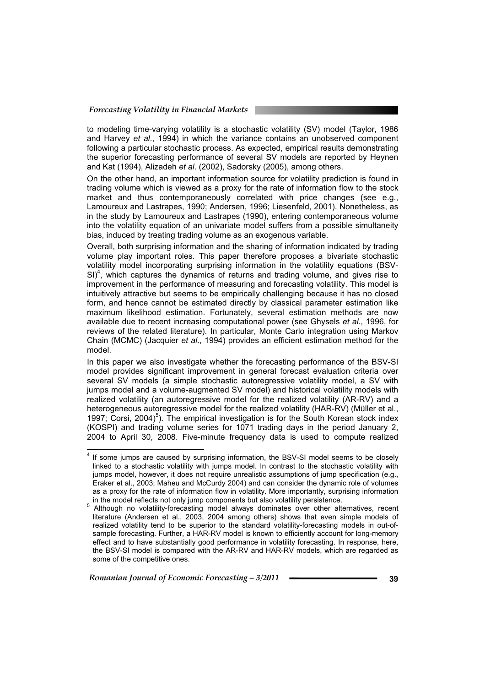to modeling time-varying volatility is a stochastic volatility (SV) model (Taylor, 1986 and Harvey *et al*., 1994) in which the variance contains an unobserved component following a particular stochastic process. As expected, empirical results demonstrating the superior forecasting performance of several SV models are reported by Heynen and Kat (1994), Alizadeh *et al*. (2002), Sadorsky (2005), among others.

On the other hand, an important information source for volatility prediction is found in trading volume which is viewed as a proxy for the rate of information flow to the stock market and thus contemporaneously correlated with price changes (see e.g., Lamoureux and Lastrapes, 1990; Andersen, 1996; Liesenfeld, 2001). Nonetheless, as in the study by Lamoureux and Lastrapes (1990), entering contemporaneous volume into the volatility equation of an univariate model suffers from a possible simultaneity bias, induced by treating trading volume as an exogenous variable.

Overall, both surprising information and the sharing of information indicated by trading volume play important roles. This paper therefore proposes a bivariate stochastic volatility model incorporating surprising information in the volatility equations (BSV- $SI)^4$ , which captures the dynamics of returns and trading volume, and gives rise to improvement in the performance of measuring and forecasting volatility. This model is intuitively attractive but seems to be empirically challenging because it has no closed form, and hence cannot be estimated directly by classical parameter estimation like maximum likelihood estimation. Fortunately, several estimation methods are now available due to recent increasing computational power (see Ghysels *et al*., 1996, for reviews of the related literature). In particular, Monte Carlo integration using Markov Chain (MCMC) (Jacquier *et al*., 1994) provides an efficient estimation method for the model.

In this paper we also investigate whether the forecasting performance of the BSV-SI model provides significant improvement in general forecast evaluation criteria over several SV models (a simple stochastic autoregressive volatility model, a SV with jumps model and a volume-augmented SV model) and historical volatility models with realized volatility (an autoregressive model for the realized volatility (AR-RV) and a heterogeneous autoregressive model for the realized volatility (HAR-RV) (Müller et al., 1997; Corsi, 2004)<sup>5</sup>). The empirical investigation is for the South Korean stock index (KOSPI) and trading volume series for 1071 trading days in the period January 2, 2004 to April 30, 2008. Five-minute frequency data is used to compute realized

 4 If some jumps are caused by surprising information, the BSV-SI model seems to be closely linked to a stochastic volatility with jumps model. In contrast to the stochastic volatility with jumps model, however, it does not require unrealistic assumptions of jump specification (e.g., Eraker et al., 2003; Maheu and McCurdy 2004) and can consider the dynamic role of volumes as a proxy for the rate of information flow in volatility. More importantly, surprising information in the model reflects not only jump components but also volatility persistence.

in the model reflects not only jump components but also volatility persistence.<br><sup>5</sup> Although no volatility-forecasting model always dominates over other alternatives, recent literature (Andersen et al., 2003, 2004 among others) shows that even simple models of realized volatility tend to be superior to the standard volatility-forecasting models in out-ofsample forecasting. Further, a HAR-RV model is known to efficiently account for long-memory effect and to have substantially good performance in volatility forecasting. In response, here, the BSV-SI model is compared with the AR-RV and HAR-RV models, which are regarded as some of the competitive ones.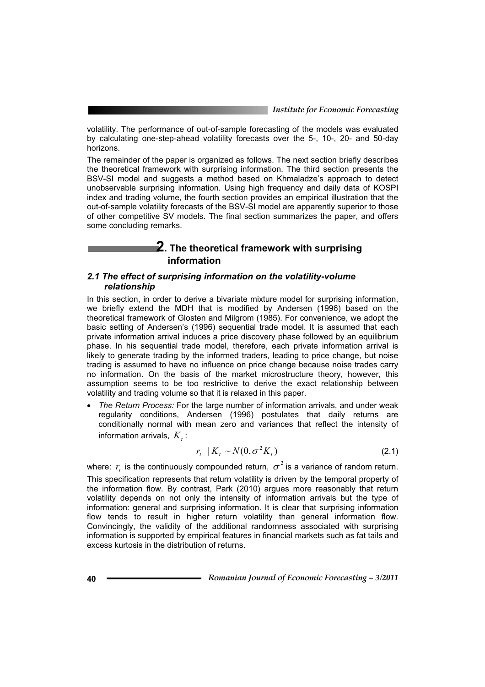volatility. The performance of out-of-sample forecasting of the models was evaluated by calculating one-step-ahead volatility forecasts over the 5-, 10-, 20- and 50-day horizons.

The remainder of the paper is organized as follows. The next section briefly describes the theoretical framework with surprising information. The third section presents the BSV-SI model and suggests a method based on Khmaladze's approach to detect unobservable surprising information. Using high frequency and daily data of KOSPI index and trading volume, the fourth section provides an empirical illustration that the out-of-sample volatility forecasts of the BSV-SI model are apparently superior to those of other competitive SV models. The final section summarizes the paper, and offers some concluding remarks.

## **2. The theoretical framework with surprising information**

#### *2.1 The effect of surprising information on the volatility-volume relationship*

In this section, in order to derive a bivariate mixture model for surprising information, we briefly extend the MDH that is modified by Andersen (1996) based on the theoretical framework of Glosten and Milgrom (1985). For convenience, we adopt the basic setting of Andersen's (1996) sequential trade model. It is assumed that each private information arrival induces a price discovery phase followed by an equilibrium phase. In his sequential trade model, therefore, each private information arrival is likely to generate trading by the informed traders, leading to price change, but noise trading is assumed to have no influence on price change because noise trades carry no information. On the basis of the market microstructure theory, however, this assumption seems to be too restrictive to derive the exact relationship between volatility and trading volume so that it is relaxed in this paper.

x *The Return Process:* For the large number of information arrivals, and under weak regularity conditions, Andersen (1996) postulates that daily returns are conditionally normal with mean zero and variances that reflect the intensity of information arrivals,  $K_t$ :

$$
r_t \mid K_t \sim N(0, \sigma^2 K_t) \tag{2.1}
$$

where:  $r_i$  is the continuously compounded return,  $\sigma^2$  is a variance of random return.

This specification represents that return volatility is driven by the temporal property of the information flow. By contrast, Park (2010) argues more reasonably that return volatility depends on not only the intensity of information arrivals but the type of information: general and surprising information. It is clear that surprising information flow tends to result in higher return volatility than general information flow. Convincingly, the validity of the additional randomness associated with surprising information is supported by empirical features in financial markets such as fat tails and excess kurtosis in the distribution of returns.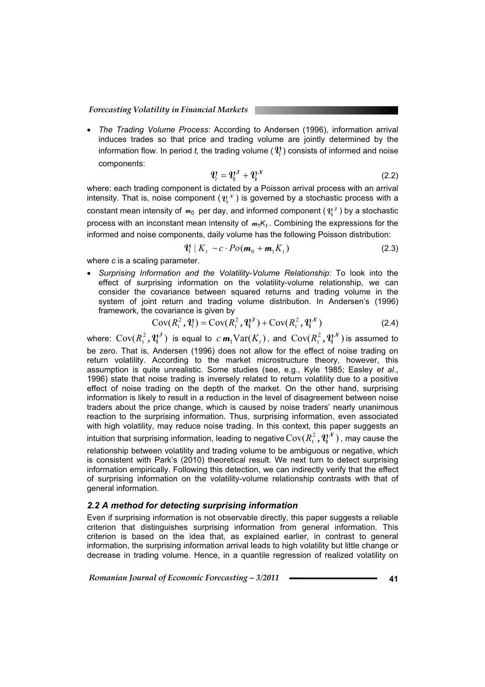x *The Trading Volume Process:* According to Andersen (1996), information arrival induces trades so that price and trading volume are jointly determined by the information flow. In period *t*, the trading volume ( $\mathcal{V}$ ) consists of informed and noise components:

$$
\mathbf{V}_i = \mathbf{V}_i^{\mathcal{I}} + \mathbf{V}_i^{\mathcal{N}} \tag{2.2}
$$

where: each trading component is dictated by a Poisson arrival process with an arrival intensity. That is, noise component  $(\mathbf{v}, \mathbf{v})$  is governed by a stochastic process with a constant mean intensity of  $m_0$  per day, and informed component ( $v_i^j$ ) by a stochastic process with an inconstant mean intensity of  $m_1K_t$ . Combining the expressions for the informed and noise components, daily volume has the following Poisson distribution:

$$
\mathbf{V}_i \mid K_t \sim c \cdot Po(\mathbf{m}_0 + \mathbf{m}_1 K_t)
$$
\n(2.3)

where *c* is a scaling parameter.

Surprising Information and the Volatility-Volume Relationship: To look into the effect of surprising information on the volatility-volume relationship, we can consider the covariance between squared returns and trading volume in the system of joint return and trading volume distribution. In Andersen's (1996) framework, the covariance is given by

$$
Cov(Rt2, \mathbf{V}t) = Cov(Rt2, \mathbf{V}t3) + Cov(Rt2, \mathbf{V}t3)
$$
 (2.4)

where:  $\text{Cov}(R_{\text{t}}^2, \pmb{\mathcal{V}}_{\text{t}}^{\jmath})$  is equal to  $c \text{ } \pmb{m}_1 \text{Var}(K_{\text{t}})$  , and  $\text{Cov}(R_{\text{t}}^2, \pmb{\mathcal{V}}_{\text{t}}^{\jmath})$  is assumed to be zero. That is, Andersen (1996) does not allow for the effect of noise trading on return volatility. According to the market microstructure theory, however, this assumption is quite unrealistic. Some studies (see, e.g., Kyle 1985; Easley *et al*., 1996) state that noise trading is inversely related to return volatility due to a positive effect of noise trading on the depth of the market. On the other hand, surprising information is likely to result in a reduction in the level of disagreement between noise traders about the price change, which is caused by noise traders' nearly unanimous reaction to the surprising information. Thus, surprising information, even associated with high volatility, may reduce noise trading. In this context, this paper suggests an intuition that surprising information, leading to negative  $\mathrm{Cov}(R_{\mathrm{t}}^2, \bm{\mathit{V}}_{\!t}^{\mathcal{N}})$  , may cause the relationship between volatility and trading volume to be ambiguous or negative, which is consistent with Park's (2010) theoretical result. We next turn to detect surprising information empirically. Following this detection, we can indirectly verify that the effect of surprising information on the volatility-volume relationship contrasts with that of general information.

#### *2.2 A method for detecting surprising information*

Even if surprising information is not observable directly, this paper suggests a reliable criterion that distinguishes surprising information from general information. This criterion is based on the idea that, as explained earlier, in contrast to general information, the surprising information arrival leads to high volatility but little change or decrease in trading volume. Hence, in a quantile regression of realized volatility on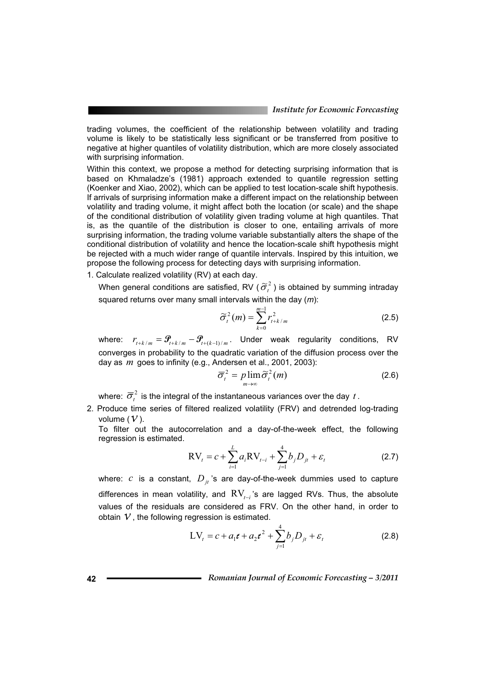trading volumes, the coefficient of the relationship between volatility and trading volume is likely to be statistically less significant or be transferred from positive to negative at higher quantiles of volatility distribution, which are more closely associated with surprising information.

Within this context, we propose a method for detecting surprising information that is based on Khmaladze's (1981) approach extended to quantile regression setting (Koenker and Xiao, 2002), which can be applied to test location-scale shift hypothesis. If arrivals of surprising information make a different impact on the relationship between volatility and trading volume, it might affect both the location (or scale) and the shape of the conditional distribution of volatility given trading volume at high quantiles. That is, as the quantile of the distribution is closer to one, entailing arrivals of more surprising information, the trading volume variable substantially alters the shape of the conditional distribution of volatility and hence the location-scale shift hypothesis might be rejected with a much wider range of quantile intervals. Inspired by this intuition, we propose the following process for detecting days with surprising information.

1. Calculate realized volatility (RV) at each day.

When general conditions are satisfied, RV ( $\widetilde{\sigma}_i^2$ ) is obtained by summing intraday squared returns over many small intervals within the day (*m*):

$$
\widetilde{\sigma}_t^2(m) = \sum_{k=0}^{m-1} r_{t+k/m}^2
$$
 (2.5)

where:  $r_{t+k/m} = \mathcal{F}_{t+k/m} - \mathcal{F}_{t+(k-1)/m}$ . Under weak regularity conditions, RV converges in probability to the quadratic variation of the diffusion process over the day as *m* goes to infinity (e.g., Andersen et al., 2001, 2003):

$$
\overline{\sigma}_t^2 = p \lim_{m \to \infty} \widetilde{\sigma}_t^2(m) \tag{2.6}
$$

where:  $\overline{\sigma}_i^2$  is the integral of the instantaneous variances over the day *t*.

2. Produce time series of filtered realized volatility (FRV) and detrended log-trading volume  $(V)$ .

To filter out the autocorrelation and a day-of-the-week effect, the following regression is estimated.

$$
RV_{t} = c + \sum_{i=1}^{L} a_{i} RV_{t-i} + \sum_{j=1}^{4} b_{j} D_{jt} + \varepsilon_{t}
$$
 (2.7)

where:  $c$  is a constant,  $D_{it}$ 's are day-of-the-week dummies used to capture differences in mean volatility, and  $RV_{t-1}$ 's are lagged RVs. Thus, the absolute values of the residuals are considered as FRV. On the other hand, in order to obtain  $V$ , the following regression is estimated.

$$
LV_{t} = c + a_{1}t + a_{2}t^{2} + \sum_{j=1}^{4} b_{j}D_{jt} + \varepsilon_{t}
$$
 (2.8)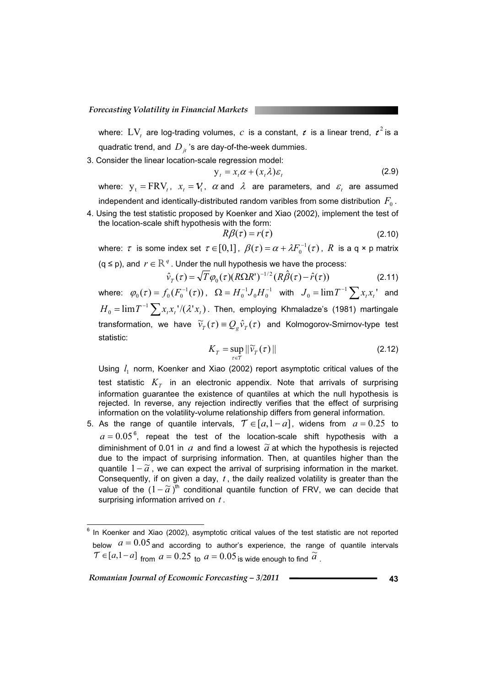where:  $\text{LV}_t$  are log-trading volumes,  $\,c\,$  is a constant,  $\,t\,$  is a linear trend,  $\,{\it t}^{\,2}\,$ is a quadratic trend, and  $D_{it}$  's are day-of-the-week dummies.

3. Consider the linear location-scale regression model:

$$
y_t = x_t \alpha + (x_t \lambda) \varepsilon_t \tag{2.9}
$$

where:  $y_t = FRV_t$ ,  $x_t = V_t$ ,  $\alpha$  and  $\lambda$  are parameters, and  $\varepsilon_t$  are assumed independent and identically-distributed random varibles from some distribution  $F_0$ .

4. Using the test statistic proposed by Koenker and Xiao (2002), implement the test of the location-scale shift hypothesis with the form:

$$
R\beta(\tau) = r(\tau) \tag{2.10}
$$

where:  $\tau$  is some index set  $\tau \in [0,1]$ ,  $\beta(\tau) = \alpha + \lambda F_0^{-1}(\tau)$ ,  $R$  is a q × p matrix ( $q \le p$ ), and  $r \in \mathbb{R}^q$ . Under the null hypothesis we have the process:

$$
\hat{v}_T(\tau) = \sqrt{T} \varphi_0(\tau) (R\Omega R^{\prime})^{-1/2} (R\hat{\beta}(\tau) - \hat{r}(\tau))
$$
\n(2.11)

where:  $\varphi_{0}(\tau) = f_{0}(F_{0}^{-1}(\tau))$ ,  $\Omega = H_{0}^{-1}J_{0}H_{0}^{-1}$ 1  $\Omega = H_0^{-1} J_0 H_0^{-1}$  with  $J_0 = \lim T^{-1} \sum x_i x_i$  and  $H_0 = \lim T^{-1} \sum x_i x_i^{-1} / (\lambda^t x_i)$  . Then, employing Khmaladze's (1981) martingale transformation, we have  $\widetilde{\nu}_{T}(\tau) \equiv Q_{\varphi} \widehat{\nu}_{T}(\tau)$  and Kolmogorov-Smirnov-type test statistic:

$$
K_T = \sup_{\tau \in \mathcal{T}} \|\widetilde{\nu}_T(\tau)\| \tag{2.12}
$$

Using <sup>1</sup> *l* norm, Koenker and Xiao (2002) report asymptotic critical values of the test statistic  $K<sub>T</sub>$  in an electronic appendix. Note that arrivals of surprising information guarantee the existence of quantiles at which the null hypothesis is rejected. In reverse, any rejection indirectly verifies that the effect of surprising information on the volatility-volume relationship differs from general information.

5. As the range of quantile intervals,  $\mathcal{T} \in [a,1-a]$ , widens from  $a = 0.25$  to  $a = 0.05^{\,6}$ , repeat the test of the location-scale shift hypothesis with a diminishment of 0.01 in  $a$  and find a lowest  $\tilde{a}$  at which the hypothesis is rejected due to the impact of surprising information. Then, at quantiles higher than the quantile  $1 - \tilde{a}$ , we can expect the arrival of surprising information in the market. Consequently, if on given a day, *t* , the daily realized volatility is greater than the value of the  $(1-\tilde{a})^{\text{th}}$  conditional quantile function of FRV, we can decide that surprising information arrived on *t* .

 $\overline{a}$ 6 In Koenker and Xiao (2002), asymptotic critical values of the test statistic are not reported below  $a = 0.05$  and according to author's experience, the range of quantile intervals  $\widetilde{T} \in [a,1-a]$  from  $a = 0.25$  to  $a = 0.05$  is wide enough to find  $\widetilde{a}$ .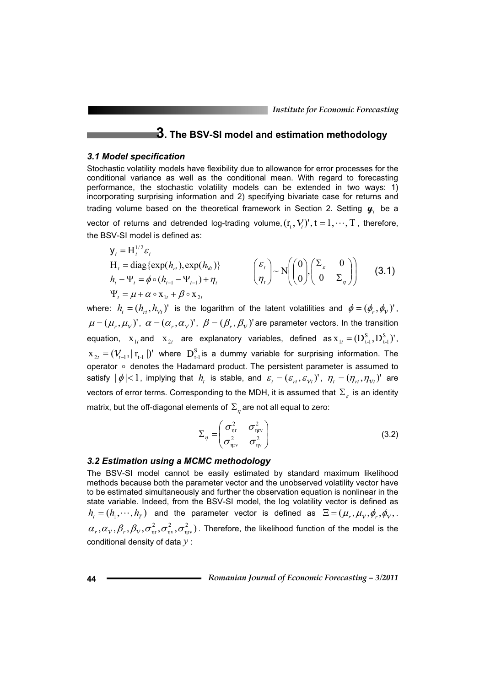## **3. The BSV-SI model and estimation methodology**

#### *3.1 Model specification*

Stochastic volatility models have flexibility due to allowance for error processes for the conditional variance as well as the conditional mean. With regard to forecasting performance, the stochastic volatility models can be extended in two ways: 1) incorporating surprising information and 2) specifying bivariate case for returns and trading volume based on the theoretical framework in Section 2. Setting  $\boldsymbol{\psi}$ , be a vector of returns and detrended log-trading volume,  $(r_t, V_t)$ <sup>'</sup>,  $t = 1, \dots, T$ , therefore, the BSV-SI model is defined as:

$$
y_{t} = H_{t}^{1/2} \varepsilon_{t}
$$
  
\n
$$
H_{t} = \text{diag}\{\exp(h_{rt}), \exp(h_{V_{t}})\}\
$$
  
\n
$$
h_{t} - \Psi_{t} = \phi \circ (h_{t-1} - \Psi_{t-1}) + \eta_{t}
$$
  
\n
$$
\Psi_{t} = \mu + \alpha \circ x_{1t} + \beta \circ x_{2t}
$$
  
\n
$$
(3.1)
$$

where:  $h_i = (h_{i}, h_{i})'$  is the logarithm of the latent volatilities and  $\phi = (\phi_i, \phi_i)'$ ,  $\mu = (\mu_r, \mu_v)'$ ,  $\alpha = (\alpha_r, \alpha_v)'$ ,  $\beta = (\beta_r, \beta_v)'$  are parameter vectors. In the transition equation,  $\mathbf{x}_{1t}$  and  $\mathbf{x}_{2t}$  are explanatory variables, defined as  $\mathbf{x}_{1t} = (\mathbf{D^S_{t-1}}, \mathbf{D^S_{t-1}})'$  $S_{1t} = (D_{t-1}^{S}, D_{t-1}^{S})'$ ,  $X_{2t} = (V_{t-1}, |r_{t-1}|)'$  where  $D_{t-1}^S$  is a dummy variable for surprising information. The operator  $\circ$  denotes the Hadamard product. The persistent parameter is assumed to satisfy  $|\phi| < 1$ , implying that  $h_t$  is stable, and  $\varepsilon_t = (\varepsilon_{rt}, \varepsilon_{Vt})'$ ,  $\eta_t = (\eta_{rt}, \eta_{Vt})'$  are vectors of error terms. Corresponding to the MDH, it is assumed that  $\Sigma<sub>e</sub>$  is an identity matrix, but the off-diagonal elements of  $\Sigma_n$  are not all equal to zero:

$$
\Sigma_{\eta} = \begin{pmatrix} \sigma_{\eta r}^2 & \sigma_{\eta r}^2 \\ \sigma_{\eta r}^2 & \sigma_{\eta v}^2 \end{pmatrix}
$$
 (3.2)

#### *3.2 Estimation using a MCMC methodology*

The BSV-SI model cannot be easily estimated by standard maximum likelihood methods because both the parameter vector and the unobserved volatility vector have to be estimated simultaneously and further the observation equation is nonlinear in the state variable. Indeed, from the BSV-SI model, the log volatility vector is defined as  $h_t = (h_1, \dots, h_T)$  and the parameter vector is defined as  $\Xi = (\mu_r, \mu_v, \phi_r, \phi_v, \dots)$  $(\alpha_{_{\rm V}},\beta_{_{\rm r}},\beta_{_{\rm V}},\sigma^{\text{2}}_{_{\rm \eta r}},\sigma^{\text{2}}_{_{\rm \eta v}},\sigma^{\text{2}}_{_{\rm \eta rv}})$ 2  $\alpha_r,\alpha_\nu,\beta_r,\beta_\nu,\sigma^2_{\eta r},\sigma^2_{\eta v},\sigma^2_{\eta r})$  . Therefore, the likelihood function of the model is the conditional density of data *y* :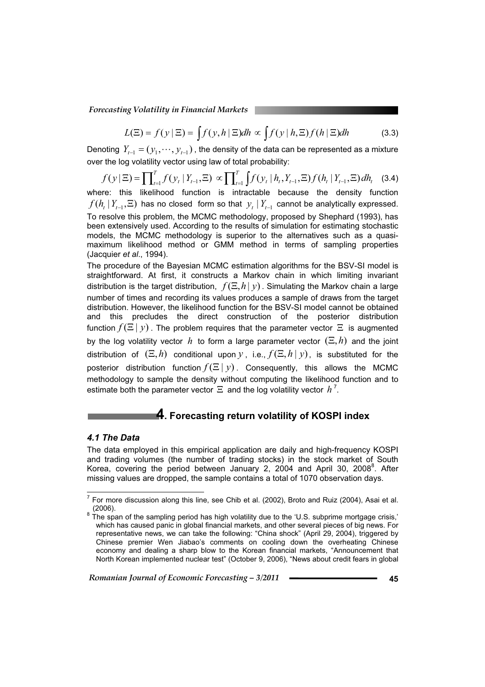$$
L(\Xi) = f(y | \Xi) = \int f(y, h | \Xi) dh \propto \int f(y | h, \Xi) f(h | \Xi) dh \tag{3.3}
$$

Denoting  $Y_{t-1} = (y_1, \dots, y_{t-1})$ , the density of the data can be represented as a mixture over the log volatility vector using law of total probability:

$$
f(y \mid \Xi) = \prod_{t=1}^{T} f(y_t \mid Y_{t-1}, \Xi) \propto \prod_{t=1}^{T} \int f(y_t \mid h_t, Y_{t-1}, \Xi) f(h_t \mid Y_{t-1}, \Xi) dh_t \quad (3.4)
$$
  
where: this likelihood function is intractable because the density function

 $f(h_t | Y_{t-1}, \Xi)$  has no closed form so that  $y_t | Y_{t-1}$  cannot be analytically expressed. To resolve this problem, the MCMC methodology, proposed by Shephard (1993), has been extensively used. According to the results of simulation for estimating stochastic models, the MCMC methodology is superior to the alternatives such as a quasimaximum likelihood method or GMM method in terms of sampling properties (Jacquier *et al*., 1994).

The procedure of the Bayesian MCMC estimation algorithms for the BSV-SI model is straightforward. At first, it constructs a Markov chain in which limiting invariant distribution is the target distribution,  $f(\Xi,h|y)$ . Simulating the Markov chain a large number of times and recording its values produces a sample of draws from the target distribution. However, the likelihood function for the BSV-SI model cannot be obtained and this precludes the direct construction of the posterior distribution function  $f(\Xi | y)$ . The problem requires that the parameter vector  $\Xi$  is augmented by the log volatility vector h to form a large parameter vector  $(\Xi, h)$  and the joint distribution of  $(E, h)$  conditional upon *y*, i.e.,  $f(E, h | y)$ , is substituted for the posterior distribution function  $f(\Xi | y)$ . Consequently, this allows the MCMC methodology to sample the density without computing the likelihood function and to estimate both the parameter vector  $\Xi$  and the log volatility vector  $\,h^{\,7}.$ 

## **4. Forecasting return volatility of KOSPI index**

#### *4.1 The Data*

The data employed in this empirical application are daily and high-frequency KOSPI and trading volumes (the number of trading stocks) in the stock market of South Korea, covering the period between January 2, 2004 and April 30, 2008 $^8$ . After missing values are dropped, the sample contains a total of 1070 observation days.

 7 For more discussion along this line, see Chib et al. (2002), Broto and Ruiz (2004), Asai et al.

<sup>(2006).&</sup>lt;br><sup>8</sup> The span of the sampling period has high volatility due to the 'U.S. subprime mortgage crisis,' which has caused panic in global financial markets, and other several pieces of big news. For representative news, we can take the following: "China shock" (April 29, 2004), triggered by Chinese premier Wen Jiabao's comments on cooling down the overheating Chinese economy and dealing a sharp blow to the Korean financial markets, "Announcement that North Korean implemented nuclear test" (October 9, 2006), "News about credit fears in global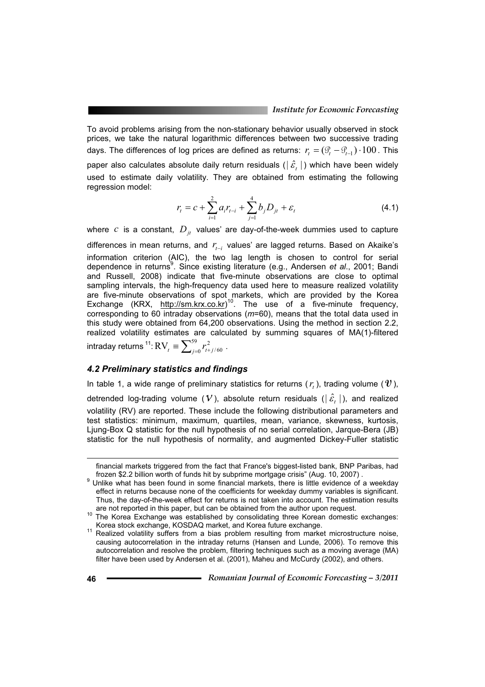To avoid problems arising from the non-stationary behavior usually observed in stock prices, we take the natural logarithmic differences between two successive trading days. The differences of log prices are defined as returns:  $r_{i} = (\mathcal{G}_{i} - \mathcal{G}_{i-1}) \cdot 100$ . This paper also calculates absolute daily return residuals ( $|\hat{\varepsilon},|$ ) which have been widely used to estimate daily volatility. They are obtained from estimating the following regression model:

$$
r_{t} = c + \sum_{i=1}^{2} a_{i} r_{t-i} + \sum_{j=1}^{4} b_{j} D_{jt} + \varepsilon_{t}
$$
\n(4.1)

where  $c$  is a constant,  $D_{it}$  values' are day-of-the-week dummies used to capture

differences in mean returns, and  $r_{t-i}$  values' are lagged returns. Based on Akaike's information criterion (AIC), the two lag length is chosen to control for serial dependence in returns<sup>9</sup>. Since existing literature (e.g., Andersen et al., 2001; Bandi and Russell, 2008) indicate that five-minute observations are close to optimal sampling intervals, the high-frequency data used here to measure realized volatility are five-minute observations of spot markets, which are provided by the Korea Exchange (KRX, http://sm.krx.co.kr)<sup>10</sup>. The use of a five-minute frequency, corresponding to 60 intraday observations (*m*=60), means that the total data used in this study were obtained from 64,200 observations. Using the method in section 2.2, realized volatility estimates are calculated by summing squares of MA(1)-filtered intraday returns  $^{11}$ :  $\mathrm{RV}_t \equiv \sum_{j=0}^{59} r_{t+}^2$  $RV_{t} \equiv \sum_{j=0}^{59} r_{t+j/60}^{2}$ .

#### *4.2 Preliminary statistics and findings*

In table 1, a wide range of preliminary statistics for returns  $(r_i)$ , trading volume  $(\nu)$ ,

detrended log-trading volume  $(V)$ , absolute return residuals  $(|\hat{\varepsilon},|)$ , and realized volatility (RV) are reported. These include the following distributional parameters and test statistics: minimum, maximum, quartiles, mean, variance, skewness, kurtosis, Ljung-Box Q statistic for the null hypothesis of no serial correlation, Jarque-Bera (JB) statistic for the null hypothesis of normality, and augmented Dickey-Fuller statistic

 $\overline{a}$ 

financial markets triggered from the fact that France's biggest-listed bank, BNP Paribas, had frozen \$2.2 billion worth of funds hit by subprime mortgage crisis" (Aug. 10, 2007).

 $9$  Unlike what has been found in some financial markets, there is little evidence of a weekday effect in returns because none of the coefficients for weekday dummy variables is significant. Thus, the day-of-the-week effect for returns is not taken into account. The estimation results are not reported in this paper, but can be obtained from the author upon request.

are not reported in this paper, but can be obtained from the author upon the author upon The Korea Exchanges:

Korea stock exchange, KOSDAQ market, and Korea future exchange.<br><sup>11</sup> Realized volatility suffers from a bias problem resulting from market microstructure noise, causing autocorrelation in the intraday returns (Hansen and Lunde, 2006). To remove this autocorrelation and resolve the problem, filtering techniques such as a moving average (MA) filter have been used by Andersen et al. (2001), Maheu and McCurdy (2002), and others.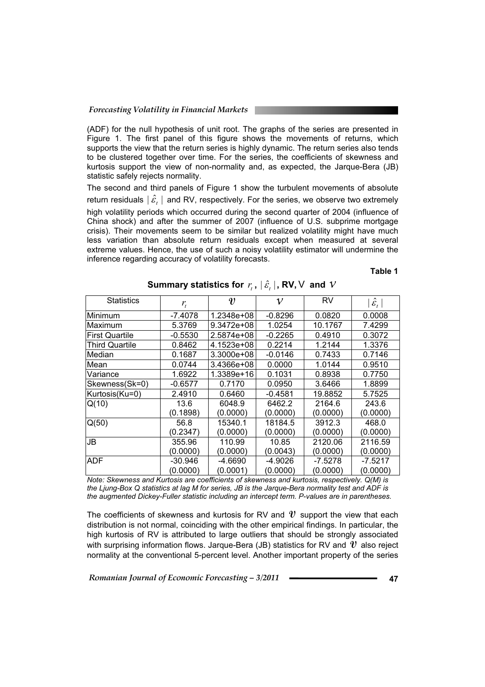(ADF) for the null hypothesis of unit root. The graphs of the series are presented in Figure 1. The first panel of this figure shows the movements of returns, which supports the view that the return series is highly dynamic. The return series also tends to be clustered together over time. For the series, the coefficients of skewness and kurtosis support the view of non-normality and, as expected, the Jarque-Bera (JB) statistic safely rejects normality.

The second and third panels of Figure 1 show the turbulent movements of absolute return residuals  $|\hat{\mathcal{E}}_t|$  and RV, respectively. For the series, we observe two extremely high volatility periods which occurred during the second quarter of 2004 (influence of China shock) and after the summer of 2007 (influence of U.S. subprime mortgage crisis). Their movements seem to be similar but realized volatility might have much less variation than absolute return residuals except when measured at several extreme values. Hence, the use of such a noisy volatility estimator will undermine the inference regarding accuracy of volatility forecasts.

**Table 1** 

| <b>Statistics</b>     | $r_{t}$   | $\boldsymbol{v}$ | $\mathcal V$ | RV        | $ \hat{\mathcal{E}}_{_t} $ |
|-----------------------|-----------|------------------|--------------|-----------|----------------------------|
| Minimum               | $-7.4078$ | 1.2348e+08       | $-0.8296$    | 0.0820    | 0.0008                     |
| Maximum               | 5.3769    | 9.3472e+08       | 1.0254       | 10.1767   | 7.4299                     |
| First Quartile        | $-0.5530$ | 2.5874e+08       | $-0.2265$    | 0.4910    | 0.3072                     |
| <b>Third Quartile</b> | 0.8462    | 4.1523e+08       | 0.2214       | 1.2144    | 1.3376                     |
| Median                | 0.1687    | 3.3000e+08       | $-0.0146$    | 0.7433    | 0.7146                     |
| Mean                  | 0.0744    | 3.4366e+08       | 0.0000       | 1.0144    | 0.9510                     |
| Variance              | 1.6922    | 1.3389e+16       | 0.1031       | 0.8938    | 0.7750                     |
| Skewness(Sk=0)        | $-0.6577$ | 0.7170           | 0.0950       | 3.6466    | 1.8899                     |
| Kurtosis(Ku=0)        | 2.4910    | 0.6460           | -0.4581      | 19.8852   | 5.7525                     |
| Q(10)                 | 13.6      | 6048.9           | 6462.2       | 2164.6    | 243.6                      |
|                       | (0.1898)  | (0.0000)         | (0.0000)     | (0.0000)  | (0.0000)                   |
| Q(50)                 | 56.8      | 15340.1          | 18184.5      | 3912.3    | 468.0                      |
|                       | (0.2347)  | (0.0000)         | (0.0000)     | (0.0000)  | (0.0000)                   |
| JB                    | 355.96    | 110.99           | 10.85        | 2120.06   | 2116.59                    |
|                       | (0.0000)  | (0.0000)         | (0.0043)     | (0.0000)  | (0.0000)                   |
| <b>ADF</b>            | $-30.946$ | $-4.6690$        | $-4.9026$    | $-7.5278$ | $-7.5217$                  |
|                       | (0.0000)  | (0.0001)         | (0.0000)     | (0.0000)  | (0.0000)                   |

**Summary statistics for** *r*,  $|\hat{\varepsilon}$ ,  $|$ , **RV**,  $\vee$  and  $\vee$ 

*Note: Skewness and Kurtosis are coefficients of skewness and kurtosis, respectively. Q(M) is the Ljung-Box Q statistics at lag M for series, JB is the Jarque-Bera normality test and ADF is the augmented Dickey-Fuller statistic including an intercept term. P-values are in parentheses.*

The coefficients of skewness and kurtosis for RV and **V** support the view that each distribution is not normal, coinciding with the other empirical findings. In particular, the high kurtosis of RV is attributed to large outliers that should be strongly associated with surprising information flows. Jarque-Bera (JB) statistics for RV and **V** also reject normality at the conventional 5-percent level. Another important property of the series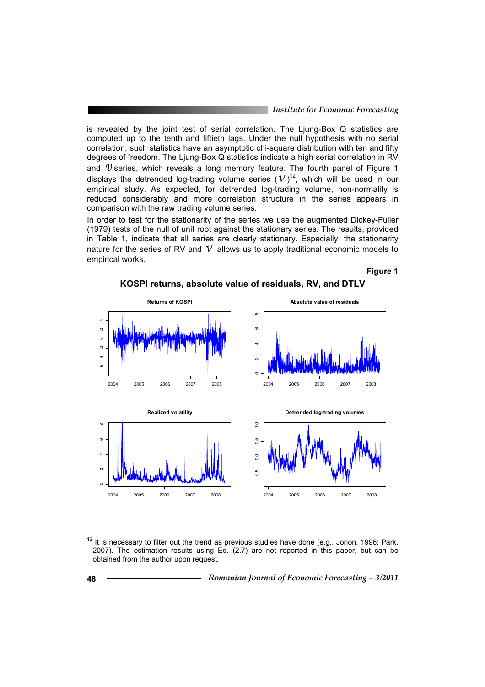is revealed by the joint test of serial correlation. The Ljung-Box Q statistics are computed up to the tenth and fiftieth lags. Under the null hypothesis with no serial correlation, such statistics have an asymptotic chi-square distribution with ten and fifty degrees of freedom. The Ljung-Box Q statistics indicate a high serial correlation in RV and  $\mathbf{v}$  series, which reveals a long memory feature. The fourth panel of Figure 1 displays the detrended log-trading volume series  $(V)^{12}$ , which will be used in our empirical study. As expected, for detrended log-trading volume, non-normality is reduced considerably and more correlation structure in the series appears in comparison with the raw trading volume series.

In order to test for the stationarity of the series we use the augmented Dickey-Fuller (1979) tests of the null of unit root against the stationary series. The results, provided in Table 1, indicate that all series are clearly stationary. Especially, the stationarity nature for the series of RV and  $V$  allows us to apply traditional economic models to empirical works.

#### **Figure 1**

**KOSPI returns, absolute value of residuals, RV, and DTLV** 



 $12$  It is necessary to filter out the trend as previous studies have done (e.g., Jorion, 1996; Park, 2007). The estimation results using Eq. (2.7) are not reported in this paper, but can be obtained from the author upon request.

 $\overline{\phantom{a}}$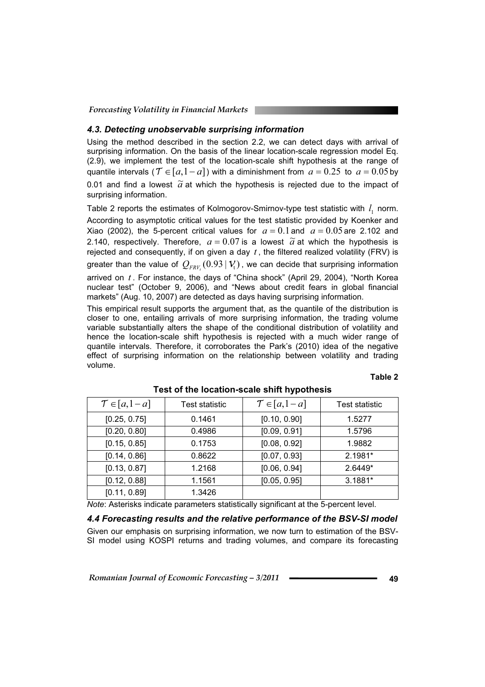#### *4.3. Detecting unobservable surprising information*

Using the method described in the section 2.2, we can detect days with arrival of surprising information. On the basis of the linear location-scale regression model Eq. (2.9), we implement the test of the location-scale shift hypothesis at the range of quantile intervals ( $\mathcal{T} \in [a,1 - a]$ ) with a diminishment from  $a = 0.25$  to  $a = 0.05$  by 0.01 and find a lowest  $\tilde{a}$  at which the hypothesis is rejected due to the impact of surprising information.

Table 2 reports the estimates of Kolmogorov-Smirnov-type test statistic with  $l_1$  norm. According to asymptotic critical values for the test statistic provided by Koenker and Xiao (2002), the 5-percent critical values for  $a = 0.1$  and  $a = 0.05$  are 2.102 and 2.140, respectively. Therefore,  $a = 0.07$  is a lowest  $\tilde{a}$  at which the hypothesis is rejected and consequently, if on given a day  $t$ , the filtered realized volatility (FRV) is greater than the value of  $Q_{FRV}$  (0.93  $|V_t\rangle$ , we can decide that surprising information arrived on *t* . For instance, the days of "China shock" (April 29, 2004), "North Korea nuclear test" (October 9, 2006), and "News about credit fears in global financial markets" (Aug. 10, 2007) are detected as days having surprising information.

This empirical result supports the argument that, as the quantile of the distribution is closer to one, entailing arrivals of more surprising information, the trading volume variable substantially alters the shape of the conditional distribution of volatility and hence the location-scale shift hypothesis is rejected with a much wider range of quantile intervals. Therefore, it corroborates the Park's (2010) idea of the negative effect of surprising information on the relationship between volatility and trading volume.

#### **Table 2**

| $\mathcal{T} \in [a, 1-a]$ | Test statistic | $\mathcal{T} \in [a, 1-a]$ | Test statistic |
|----------------------------|----------------|----------------------------|----------------|
| [0.25, 0.75]               | 0.1461         | [0.10, 0.90]               | 1.5277         |
| [0.20, 0.80]               | 0.4986         | [0.09, 0.91]               | 1.5796         |
| [0.15, 0.85]               | 0.1753         | [0.08, 0.92]               | 1.9882         |
| [0.14, 0.86]               | 0.8622         | [0.07, 0.93]               | 2.1981*        |
| [0.13, 0.87]               | 1.2168         | [0.06, 0.94]               | 2.6449*        |
| [0.12, 0.88]               | 1.1561         | [0.05, 0.95]               | 3.1881*        |
| [0.11, 0.89]               | 1.3426         |                            |                |

### **Test of the location-scale shift hypothesis**

*Note*: Asterisks indicate parameters statistically significant at the 5-percent level.

#### *4.4 Forecasting results and the relative performance of the BSV-SI model*

Given our emphasis on surprising information, we now turn to estimation of the BSV-SI model using KOSPI returns and trading volumes, and compare its forecasting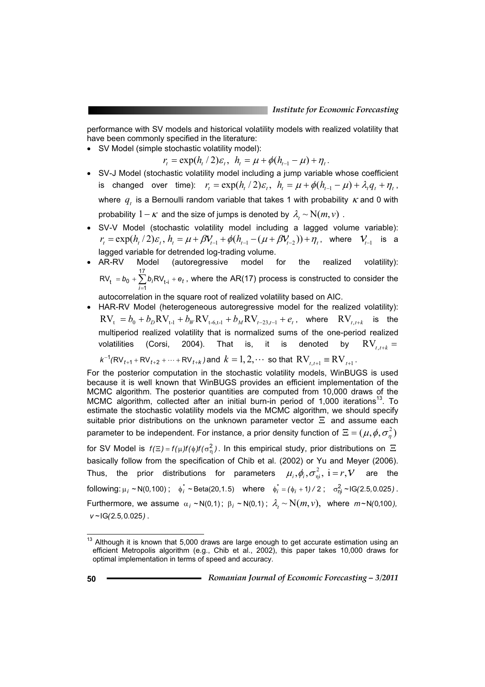performance with SV models and historical volatility models with realized volatility that have been commonly specified in the literature:

• SV Model (simple stochastic volatility model):

 $r_t = \exp(h_t/2)\varepsilon_t$ ,  $h_t = \mu + \phi(h_{t-1} - \mu) + \eta_t$ .

- SV-J Model (stochastic volatility model including a jump variable whose coefficient is changed over time):  $r_t = \exp(h_t/2)\varepsilon_t$ ,  $h_t = \mu + \phi(h_{t-1} - \mu) + \lambda_t q_t + \eta_t$ , where  $q_i$  is a Bernoulli random variable that takes 1 with probability  $\kappa$  and 0 with probability  $1 - \kappa$  and the size of jumps is denoted by  $\lambda_t \sim N(m, v)$ .
- SV-V Model (stochastic volatility model including a lagged volume variable):  $r_t = \exp(h_t/2)\varepsilon_t$ ,  $h_t = \mu + \beta V_{t-1} + \phi(h_{t-1} - (\mu + \beta V_{t-2})) + \eta_t$ , where  $V_{t-1}$  is a lagged variable for detrended log-trading volume.

• AR-RV Model (autoregressive model for the realized volatility):  
\nRV<sub>t</sub> = 
$$
b_0 + \sum_{i=1}^{17} b_i RV_{t-i} + e_t
$$
, where the AR(17) process is constructed to consider the

autocorrelation in the square root of realized volatility based on AIC.

• HAR-RV Model (heterogeneous autoregressive model for the realized volatility):  $\text{RV}_{t} = b_0 + b_D \text{RV}_{t-1} + b_W \text{RV}_{t-6,t-1} + b_M \text{RV}_{t-23,t-1} + e_t$ , where  $\text{RV}_{t,t+k}$  is the multiperiod realized volatility that is normalized sums of the one-period realized volatilities (Corsi, 2004). That is, it is denoted by  $RV_{\text{crit}} =$ 

$$
k^{-1}(RV_{t+1} + RV_{t+2} + \cdots + RV_{t+k})
$$
 and  $k = 1, 2, \cdots$  so that  $RV_{t,t+1} = RV_{t+1}$ .

For the posterior computation in the stochastic volatility models, WinBUGS is used because it is well known that WinBUGS provides an efficient implementation of the MCMC algorithm. The posterior quantities are computed from 10,000 draws of the MCMC algorithm, collected after an initial burn-in period of 1,000 iterations<sup>13</sup>. To estimate the stochastic volatility models via the MCMC algorithm, we should specify suitable prior distributions on the unknown parameter vector  $\Xi$  and assume each parameter to be independent. For instance, a prior density function of  $\Xi = (\mu, \phi, \sigma_{\eta}^2)$ for SV Model is  $f(\Xi) = f(\mu)f(\phi)f(\sigma_n^2)$ . In this empirical study, prior distributions on  $\Xi$ 

basically follow from the specification of Chib et al. (2002) or Yu and Meyer (2006). Thus, the prior distributions for parameters  $\mu_i, \phi_i, \sigma^2_{\frak{n} i}, \, i=r, \mathcal{V}$  are the  $\oint_{i}^{*}$   $\sim N(0,100)$ ;  $\oint_{i}^{*}$   $\sim$  Beta(20,1.5) where  $\oint_{i}^{*} = (\phi_{i} + 1)/2$ ;  $\sigma_{\text{nl}}^{2} \sim$  IG(2.5,0.025). Furthermore, we assume  $\alpha_i$   $\sim N(0,1)$ ;  $\beta_i$   $\sim N(0,1)$ ;  $\lambda_i \sim N(m, v)$ , where  $m \sim N(0,100)$ , *v ~*IG*(*2*.*5*,*0*.*025*)* .

 $\overline{\phantom{a}}$ 

 $13$  Although it is known that 5,000 draws are large enough to get accurate estimation using an efficient Metropolis algorithm (e.g., Chib et al., 2002), this paper takes 10,000 draws for optimal implementation in terms of speed and accuracy.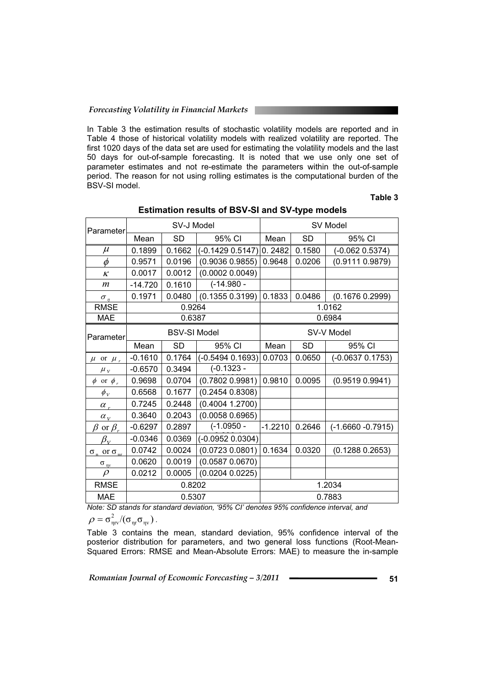In Table 3 the estimation results of stochastic volatility models are reported and in Table 4 those of historical volatility models with realized volatility are reported. The first 1020 days of the data set are used for estimating the volatility models and the last 50 days for out-of-sample forecasting. It is noted that we use only one set of parameter estimates and not re-estimate the parameters within the out-of-sample period. The reason for not using rolling estimates is the computational burden of the BSV-SI model.

#### **Table 3**

| Parameter                             | SV-J Model          |           |                    | SV Model   |           |                      |  |
|---------------------------------------|---------------------|-----------|--------------------|------------|-----------|----------------------|--|
|                                       | Mean                | <b>SD</b> | 95% CI             | Mean       | <b>SD</b> | 95% CI               |  |
| $\mu$                                 | 0.1899              | 0.1662    | $(-0.14290.5147)$  | 0.2482     | 0.1580    | $(-0.062 0.5374)$    |  |
| $\phi$                                | 0.9571              | 0.0196    | (0.9036 0.9855)    | 0.9648     | 0.0206    | (0.9111 0.9879)      |  |
| $\kappa$                              | 0.0017              | 0.0012    | (0.0002 0.0049)    |            |           |                      |  |
| $\boldsymbol{m}$                      | $-14.720$           | 0.1610    | $(-14.980 -$       |            |           |                      |  |
| $\sigma_n$                            | 0.1971              | 0.0480    | (0.13550.3199)     | 0.1833     | 0.0486    | (0.1676 0.2999)      |  |
| <b>RMSE</b>                           | 0.9264              |           |                    | 1.0162     |           |                      |  |
| <b>MAE</b>                            | 0.6387              |           |                    | 0.6984     |           |                      |  |
| Parameter                             | <b>BSV-SI Model</b> |           |                    | SV-V Model |           |                      |  |
|                                       | Mean                | <b>SD</b> | 95% CI             | Mean       | <b>SD</b> | 95% CI               |  |
| $\mu$ or $\mu_r$                      | $-0.1610$           | 0.1764    | $(-0.5494 0.1693)$ | 0.0703     | 0.0650    | $(-0.06370.1753)$    |  |
| $\mu_v$                               | $-0.6570$           | 0.3494    | $(-0.1323 -$       |            |           |                      |  |
| $\phi$ or $\phi$ ,                    | 0.9698              | 0.0704    | (0.7802 0.9981)    | 0.9810     | 0.0095    | (0.9519 0.9941)      |  |
| $\phi_v$                              | 0.6568              | 0.1677    | (0.2454 0.8308)    |            |           |                      |  |
| $\alpha_r$                            | 0.7245              | 0.2448    | (0.4004 1.2700)    |            |           |                      |  |
| $\alpha_v$                            | 0.3640              | 0.2043    | (0.0058 0.6965)    |            |           |                      |  |
| $\beta$ or $\beta_r$                  | $-0.6297$           | 0.2897    | $(-1.0950 -$       | $-1.2210$  | 0.2646    | $(-1.6660 - 0.7915)$ |  |
| $\beta_{\rm\scriptscriptstyle V}$     | $-0.0346$           | 0.0369    | $(-0.0952 0.0304)$ |            |           |                      |  |
| $\sigma_{\rm n}$ or $\sigma_{\rm nr}$ | 0.0742              | 0.0024    | (0.0723 0.0801)    | 0.1634     | 0.0320    | (0.1288 0.2653)      |  |
| $\underline{\sigma}_{\text{nv}}$      | 0.0620              | 0.0019    | (0.0587 0.0670)    |            |           |                      |  |
| $\rho$                                | 0.0212              | 0.0005    | (0.0204 0.0225)    |            |           |                      |  |
| <b>RMSE</b>                           | 0.8202              |           |                    | 1.2034     |           |                      |  |
| <b>MAE</b>                            | 0.5307              |           |                    | 0.7883     |           |                      |  |

#### **Estimation results of BSV-SI and SV-type models**

*Note: SD stands for standard deviation, '95% CI' denotes 95% confidence interval, and* 

 $\rho = \sigma_{\eta r v}^2/(\sigma_{\eta r} \sigma_{\eta v})$  .

Table 3 contains the mean, standard deviation, 95% confidence interval of the posterior distribution for parameters, and two general loss functions (Root-Mean-Squared Errors: RMSE and Mean-Absolute Errors: MAE) to measure the in-sample

*Romanian Journal of Economic Forecasting – 3/2011* **Example 2014** 51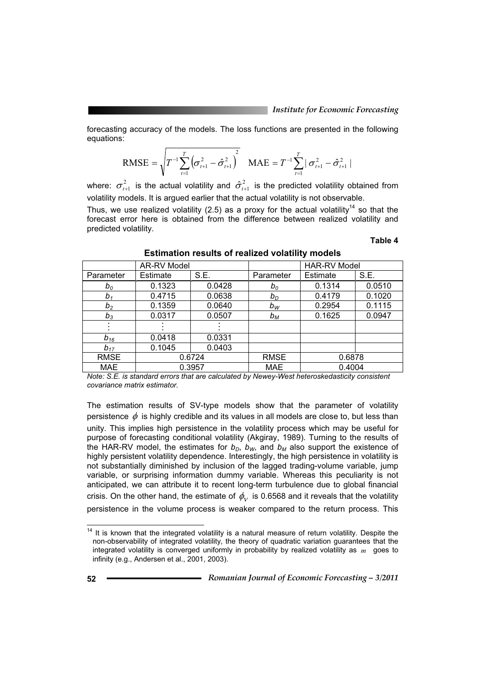forecasting accuracy of the models. The loss functions are presented in the following equations:

RMSE = 
$$
\sqrt{T^{-1} \sum_{t=1}^{T} (\sigma_{t+1}^2 - \hat{\sigma}_{t+1}^2)^2}
$$
 MAE =  $T^{-1} \sum_{t=1}^{T} |\sigma_{t+1}^2 - \hat{\sigma}_{t+1}^2|$ 

where:  $\sigma^2_{t+1}$  is the actual volatility and  $\hat{\sigma}^2_{t+1}$  is the predicted volatility obtained from volatility models. It is argued earlier that the actual volatility is not observable.

Thus, we use realized volatility (2.5) as a proxy for the actual volatility<sup>14</sup> so that the forecast error here is obtained from the difference between realized volatility and predicted volatility.

**Table 4**

|                                                                                                  | <b>AR-RV Model</b> |        |             | <b>HAR-RV Model</b> |        |  |
|--------------------------------------------------------------------------------------------------|--------------------|--------|-------------|---------------------|--------|--|
| Parameter                                                                                        | Estimate           | S.E.   |             | Estimate            | S.E.   |  |
| $b_0$                                                                                            | 0.1323             | 0.0428 | $b_0$       | 0.1314              | 0.0510 |  |
| $b_1$                                                                                            | 0.4715             | 0.0638 | $b_D$       | 0.4179              | 0.1020 |  |
| b <sub>2</sub>                                                                                   | 0.1359             | 0.0640 | $b_W$       | 0.2954              | 0.1115 |  |
| $b_3$                                                                                            | 0.0317             | 0.0507 | $b_M$       | 0.1625              | 0.0947 |  |
|                                                                                                  |                    |        |             |                     |        |  |
| $b_{16}$                                                                                         | 0.0418             | 0.0331 |             |                     |        |  |
| $b_{17}$                                                                                         | 0.1045             | 0.0403 |             |                     |        |  |
| <b>RMSE</b>                                                                                      | 0.6724             |        | <b>RMSE</b> | 0.6878              |        |  |
| <b>MAE</b>                                                                                       | 0.3957             |        | <b>MAE</b>  | 0.4004              |        |  |
| Neter O.E. in other doed presented are probabled by Neurou Ment botage dealership the consistent |                    |        |             |                     |        |  |

**Estimation results of realized volatility models** 

*Note: S.E. is standard errors that are calculated by Newey-West heteroskedasticity consistent covariance matrix estimator.* 

The estimation results of SV-type models show that the parameter of volatility persistence  $\phi$  is highly credible and its values in all models are close to, but less than unity. This implies high persistence in the volatility process which may be useful for purpose of forecasting conditional volatility (Akgiray, 1989). Turning to the results of the HAR-RV model, the estimates for  $b<sub>D</sub>$ ,  $b<sub>W</sub>$ , and  $b<sub>M</sub>$  also support the existence of highly persistent volatility dependence. Interestingly, the high persistence in volatility is not substantially diminished by inclusion of the lagged trading-volume variable, jump variable, or surprising information dummy variable. Whereas this peculiarity is not anticipated, we can attribute it to recent long-term turbulence due to global financial crisis. On the other hand, the estimate of  $\phi_{\rm v}$  is 0.6568 and it reveals that the volatility persistence in the volume process is weaker compared to the return process. This

 $\overline{\phantom{a}}$  $14$  It is known that the integrated volatility is a natural measure of return volatility. Despite the non-observability of integrated volatility, the theory of quadratic variation guarantees that the integrated volatility is converged uniformly in probability by realized volatility as *m* goes to infinity (e.g., Andersen et al., 2001, 2003).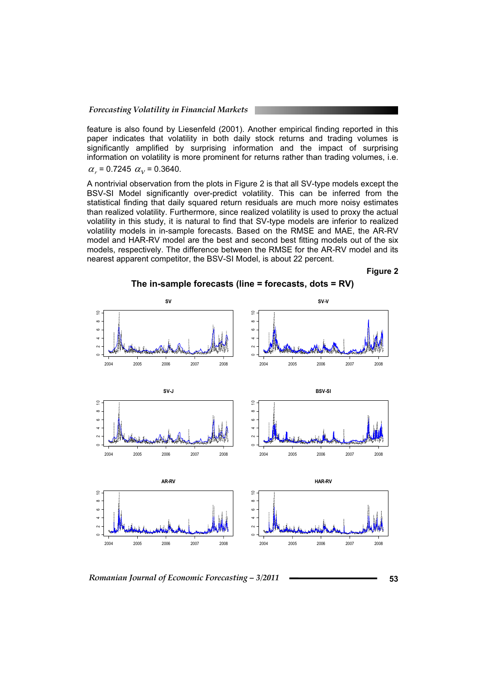feature is also found by Liesenfeld (2001). Another empirical finding reported in this paper indicates that volatility in both daily stock returns and trading volumes is significantly amplified by surprising information and the impact of surprising information on volatility is more prominent for returns rather than trading volumes, i.e.  $\alpha_r$  = 0.7245  $\alpha_v$  = 0.3640.

A nontrivial observation from the plots in Figure 2 is that all SV-type models except the BSV-SI Model significantly over-predict volatility. This can be inferred from the statistical finding that daily squared return residuals are much more noisy estimates than realized volatility. Furthermore, since realized volatility is used to proxy the actual volatility in this study, it is natural to find that SV-type models are inferior to realized volatility models in in-sample forecasts. Based on the RMSE and MAE, the AR-RV model and HAR-RV model are the best and second best fitting models out of the six models, respectively. The difference between the RMSE for the AR-RV model and its nearest apparent competitor, the BSV-SI Model, is about 22 percent.

**Figure 2** 



 *Romanian Journal of Economic Forecasting – 3/2011* **<sup>53</sup>**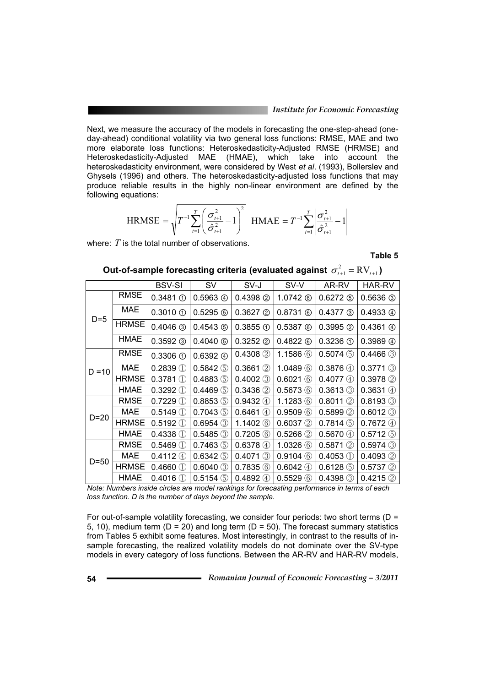Next, we measure the accuracy of the models in forecasting the one-step-ahead (oneday-ahead) conditional volatility via two general loss functions: RMSE, MAE and two more elaborate loss functions: Heteroskedasticity-Adjusted RMSE (HRMSE) and Heteroskedasticity-Adjusted MAE (HMAE), which take into account the heteroskedasticity environment, were considered by West *et al*. (1993), Bollerslev and Ghysels (1996) and others. The heteroskedasticity-adjusted loss functions that may produce reliable results in the highly non-linear environment are defined by the following equations:

$$
\text{HRMSE} = \sqrt{T^{-1} \sum_{t=1}^{T} \left( \frac{\sigma_{t+1}^2}{\hat{\sigma}_{t+1}^2} - 1 \right)^2} \quad \text{HMAE} = T^{-1} \sum_{t=1}^{T} \left| \frac{\sigma_{t+1}^2}{\hat{\sigma}_{t+1}^2} - 1 \right|
$$

where: *T* is the total number of observations.

**Table 5**

|          |              | <b>BSV-SI</b>                     | <b>SV</b>               | SV-J                    | SV-V                  | AR-RV              | HAR-RV                   |
|----------|--------------|-----------------------------------|-------------------------|-------------------------|-----------------------|--------------------|--------------------------|
| $D=5$    | <b>RMSE</b>  | $0.3481$ ①                        | $0.5963$ $\circledcirc$ | $0.4398$ ②              | $1.0742$ $@$          | $0.6272$ ①         | $0.5636$ ③               |
|          | <b>MAE</b>   | $0.3010 \text{ O}$                | $0.5295$ ①              | $0.3627$ ②              | $0.8731$ $@$          | $0.4377$ ③         | $0.4933 \; \circled{4}$  |
|          | <b>HRMSE</b> | $0.4046$ 3                        | $0.4543$ ①              | $0.3855 \circledcirc$   | $0.5387$ $@$          | $0.3995$ ②         | $0.4361 \circledcirc$    |
|          | HMAE         | $0.3592$ ③                        | $0.4040$ ①              | $0.3252$ ②              | $0.4822 \circledcirc$ | $0.3236 \text{ O}$ | $0.3989 \; \circledcirc$ |
|          | RMSE         | $0.3306 \text{ O}$                | 0.6392@                 | $0.4308$ 2              | 1.1586 $\circled$     | $0.5074$ (5)       | $0.4466$ 3               |
| $D = 10$ | <b>MAE</b>   | $0.2839$ ①                        | 0.5842(5)               | $0.3661$ (2)            | 1.0489@               | 0.3876(4)          | $0.3771$ $(3)$           |
|          | <b>HRMSE</b> | 0.3781<br>$\left( \Gamma \right)$ | $0.4883$ (5)            | $0.4002$ 3              | 0.6021<br>(6)         | 0.4077(4)          | $0.3978$ 2               |
|          | HMAE         | $0.3292$ (1)                      | $0.4469$ (5)            | $0.3436$ 2              | 0.5673(6)             | $0.3613$ 3         | 0.3631<br>(4)            |
|          | <b>RMSE</b>  | $0.7229$ (1)                      | $0.8853$ (5)            | 0.9432(4)               | 1.1283(6)             | 0.8011(2)          | $0.8193$ 3               |
| $D=20$   | MAE          | $0.5149$ (1)                      | $0.7043$ (5)            | $0.6461$ 4              | $0.9509$ $@$          | $0.5899$ 2         | $0.6012$ 3               |
|          | <b>HRMSE</b> | $0.5192$ (1)                      | $0.6954$ 3              | 1.1402 $@$              | $0.6037$ 2            | $0.7814$ (5)       | 0.7672(4)                |
|          | HMAE         | $0.4338$ (1)                      | $0.5485$ 3              | 0.7205(6)               | $0.5266$ 2            | 0.5670(4)          | $0.5712$ (5)             |
| $D=50$   | <b>RMSE</b>  | $0.5469$ (1)                      | $0.7463$ $\circled{5}$  | 0.6378(4)               | $1.0326$ $@$          | $0.5871$ (2)       | $0.5974$ $\circled{3}$   |
|          | <b>MAE</b>   | $0.4112 \; (4)$                   | 0.6342(5)               | 0.4071<br>$\circled{3}$ | $0.9104$ (6)          | $0.4053$ (1)       | $0.4093$ 2               |
|          | <b>HRMSE</b> | $0.4660$ (1)                      | $0.6040$ 3              | 0.7835(6)               | $0.6042 \text{ (4)}$  | $0.6128$ (5)       | $0.5737$ 2               |
|          | HMAE         | $0.4016$ (1)                      | $0.5154$ (5)            | 0.4892(4)               | 0.5529(6)             | $0.4398$ 3         | 0.4215(2)                |

Out-of-sample forecasting criteria (evaluated against  $\sigma^2_{t+1} = \mathrm{RV}_{t+1}$ )

*Note: Numbers inside circles are model rankings for forecasting performance in terms of each loss function. D is the number of days beyond the sample.* 

For out-of-sample volatility forecasting, we consider four periods: two short terms ( $D =$ 5, 10), medium term ( $D = 20$ ) and long term ( $D = 50$ ). The forecast summary statistics from Tables 5 exhibit some features. Most interestingly, in contrast to the results of insample forecasting, the realized volatility models do not dominate over the SV-type models in every category of loss functions. Between the AR-RV and HAR-RV models,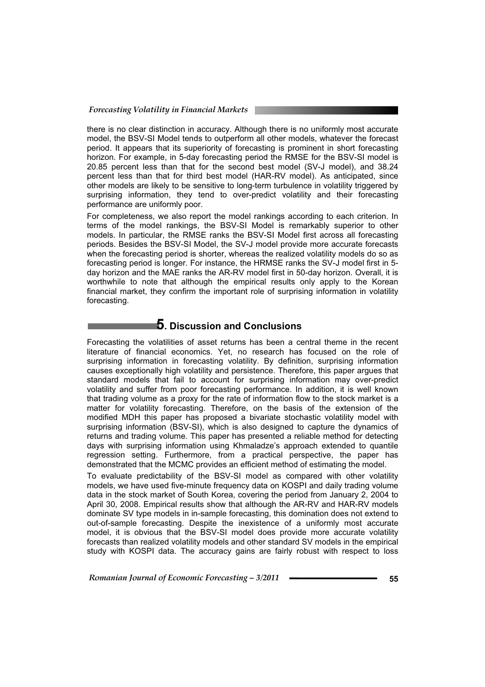there is no clear distinction in accuracy. Although there is no uniformly most accurate model, the BSV-SI Model tends to outperform all other models, whatever the forecast period. It appears that its superiority of forecasting is prominent in short forecasting horizon. For example, in 5-day forecasting period the RMSE for the BSV-SI model is 20.85 percent less than that for the second best model (SV-J model), and 38.24 percent less than that for third best model (HAR-RV model). As anticipated, since other models are likely to be sensitive to long-term turbulence in volatility triggered by surprising information, they tend to over-predict volatility and their forecasting performance are uniformly poor.

For completeness, we also report the model rankings according to each criterion. In terms of the model rankings, the BSV-SI Model is remarkably superior to other models. In particular, the RMSE ranks the BSV-SI Model first across all forecasting periods. Besides the BSV-SI Model, the SV-J model provide more accurate forecasts when the forecasting period is shorter, whereas the realized volatility models do so as forecasting period is longer. For instance, the HRMSE ranks the SV-J model first in 5 day horizon and the MAE ranks the AR-RV model first in 50-day horizon. Overall, it is worthwhile to note that although the empirical results only apply to the Korean financial market, they confirm the important role of surprising information in volatility forecasting.

## **5. Discussion and Conclusions**

Forecasting the volatilities of asset returns has been a central theme in the recent literature of financial economics. Yet, no research has focused on the role of surprising information in forecasting volatility. By definition, surprising information causes exceptionally high volatility and persistence. Therefore, this paper argues that standard models that fail to account for surprising information may over-predict volatility and suffer from poor forecasting performance. In addition, it is well known that trading volume as a proxy for the rate of information flow to the stock market is a matter for volatility forecasting. Therefore, on the basis of the extension of the modified MDH this paper has proposed a bivariate stochastic volatility model with surprising information (BSV-SI), which is also designed to capture the dynamics of returns and trading volume. This paper has presented a reliable method for detecting days with surprising information using Khmaladze's approach extended to quantile regression setting. Furthermore, from a practical perspective, the paper has demonstrated that the MCMC provides an efficient method of estimating the model.

To evaluate predictability of the BSV-SI model as compared with other volatility models, we have used five-minute frequency data on KOSPI and daily trading volume data in the stock market of South Korea, covering the period from January 2, 2004 to April 30, 2008. Empirical results show that although the AR-RV and HAR-RV models dominate SV type models in in-sample forecasting, this domination does not extend to out-of-sample forecasting. Despite the inexistence of a uniformly most accurate model, it is obvious that the BSV-SI model does provide more accurate volatility forecasts than realized volatility models and other standard SV models in the empirical study with KOSPI data. The accuracy gains are fairly robust with respect to loss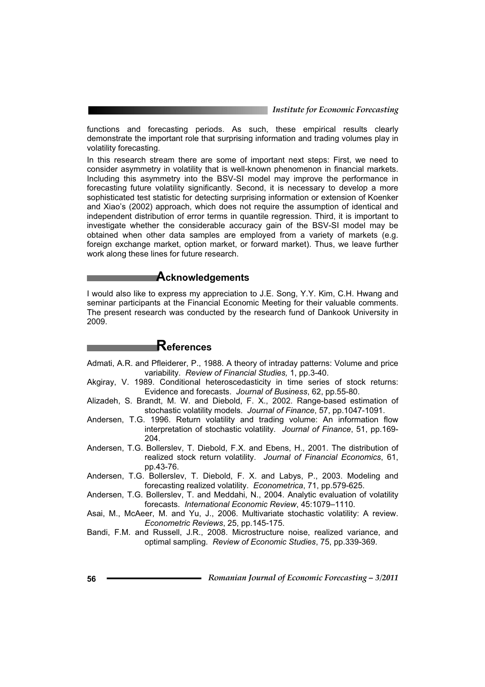functions and forecasting periods. As such, these empirical results clearly demonstrate the important role that surprising information and trading volumes play in volatility forecasting.

In this research stream there are some of important next steps: First, we need to consider asymmetry in volatility that is well-known phenomenon in financial markets. Including this asymmetry into the BSV-SI model may improve the performance in forecasting future volatility significantly. Second, it is necessary to develop a more sophisticated test statistic for detecting surprising information or extension of Koenker and Xiao's (2002) approach, which does not require the assumption of identical and independent distribution of error terms in quantile regression. Third, it is important to investigate whether the considerable accuracy gain of the BSV-SI model may be obtained when other data samples are employed from a variety of markets (e.g. foreign exchange market, option market, or forward market). Thus, we leave further work along these lines for future research.

#### **Acknowledgements**

I would also like to express my appreciation to J.E. Song, Y.Y. Kim, C.H. Hwang and seminar participants at the Financial Economic Meeting for their valuable comments. The present research was conducted by the research fund of Dankook University in 2009.

## **References**

- Admati, A.R. and Pfleiderer, P., 1988. A theory of intraday patterns: Volume and price variability. *Review of Financial Studies,* 1, pp.3-40.
- Akgiray, V. 1989. Conditional heteroscedasticity in time series of stock returns: Evidence and forecasts. *Journal of Business*, 62, pp.55-80.
- Alizadeh, S. Brandt, M. W. and Diebold, F. X., 2002. Range-based estimation of stochastic volatility models. *Journal of Finance*, 57, pp.1047-1091.
- Andersen, T.G. 1996. Return volatility and trading volume: An information flow interpretation of stochastic volatility. *Journal of Finance*, 51, pp.169- 204.
- Andersen, T.G. Bollerslev, T. Diebold, F.X. and Ebens, H., 2001. The distribution of realized stock return volatility. *Journal of Financial Economics*, 61, pp.43-76.
- Andersen, T.G. Bollerslev, T. Diebold, F. X. and Labys, P., 2003. Modeling and forecasting realized volatility. *Econometrica*, 71, pp.579-625.
- Andersen, T.G. Bollerslev, T. and Meddahi, N., 2004. Analytic evaluation of volatility forecasts. *International Economic Review*, 45:1079–1110.
- Asai, M., McAeer, M. and Yu, J., 2006. Multivariate stochastic volatility: A review. *Econometric Reviews*, 25, pp.145-175.
- Bandi, F.M. and Russell, J.R., 2008. Microstructure noise, realized variance, and optimal sampling. *Review of Economic Studies*, 75, pp.339-369.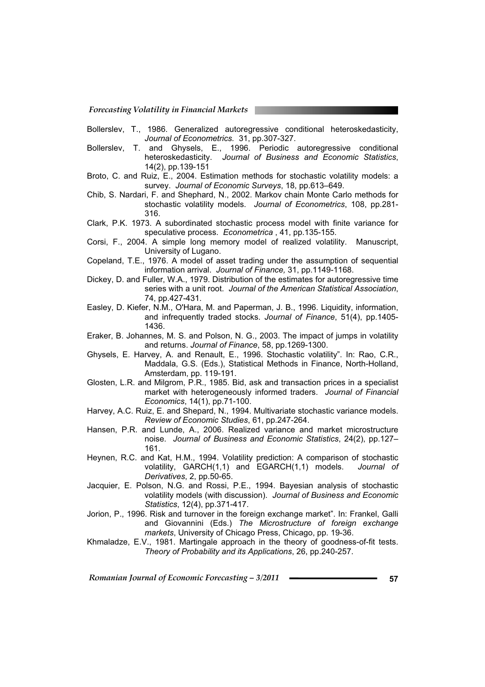- Bollerslev, T., 1986. Generalized autoregressive conditional heteroskedasticity, *Journal of Econometrics.* 31, pp.307-327.
- Bollerslev, T. and Ghysels, E., 1996. Periodic autoregressive conditional heteroskedasticity. *Journal of Business and Economic Statistics*, 14(2), pp.139-151
- Broto, C. and Ruiz, E., 2004. Estimation methods for stochastic volatility models: a survey. *Journal of Economic Surveys*, 18, pp.613–649.
- Chib, S. Nardari, F. and Shephard, N., 2002. Markov chain Monte Carlo methods for stochastic volatility models. *Journal of Econometrics*, 108, pp.281- 316.
- Clark, P.K. 1973. A subordinated stochastic process model with finite variance for speculative process. *Econometrica* , 41, pp.135-155.
- Corsi, F., 2004. A simple long memory model of realized volatility. Manuscript, University of Lugano.
- Copeland, T.E., 1976. A model of asset trading under the assumption of sequential information arrival. *Journal of Finance,* 31, pp.1149-1168.
- Dickey, D. and Fuller, W.A., 1979. Distribution of the estimates for autoregressive time series with a unit root. *Journal of the American Statistical Association*, 74, pp.427-431.
- Easley, D. Kiefer, N.M., O'Hara, M. and Paperman, J. B., 1996. Liquidity, information, and infrequently traded stocks. *Journal of Finance*, 51(4), pp.1405- 1436.
- Eraker, B. Johannes, M. S. and Polson, N. G., 2003. The impact of jumps in volatility and returns. *Journal of Finance*, 58, pp.1269-1300.
- Ghysels, E. Harvey, A. and Renault, E., 1996. Stochastic volatility". In: Rao, C.R., Maddala, G.S. (Eds.), Statistical Methods in Finance, North-Holland, Amsterdam, pp. 119-191.
- Glosten, L.R. and Milgrom, P.R., 1985. Bid, ask and transaction prices in a specialist market with heterogeneously informed traders. *Journal of Financial Economics*, 14(1), pp.71-100.
- Harvey, A.C. Ruiz, E. and Shepard, N., 1994. Multivariate stochastic variance models. *Review of Economic Studies*, 61, pp.247-264.
- Hansen, P.R. and Lunde, A., 2006. Realized variance and market microstructure noise. *Journal of Business and Economic Statistics*, 24(2), pp.127– 161.
- Heynen, R.C. and Kat, H.M., 1994. Volatility prediction: A comparison of stochastic volatility, GARCH(1,1) and EGARCH(1,1) models. *Journal of Derivatives*, 2, pp.50-65.
- Jacquier, E. Polson, N.G. and Rossi, P.E., 1994. Bayesian analysis of stochastic volatility models (with discussion). *Journal of Business and Economic Statistics*, 12(4), pp.371-417.
- Jorion, P., 1996. Risk and turnover in the foreign exchange market". In: Frankel, Galli and Giovannini (Eds.) *The Microstructure of foreign exchange markets*, University of Chicago Press, Chicago, pp. 19-36.
- Khmaladze, E.V., 1981. Martingale approach in the theory of goodness-of-fit tests. *Theory of Probability and its Applications*, 26, pp.240-257.